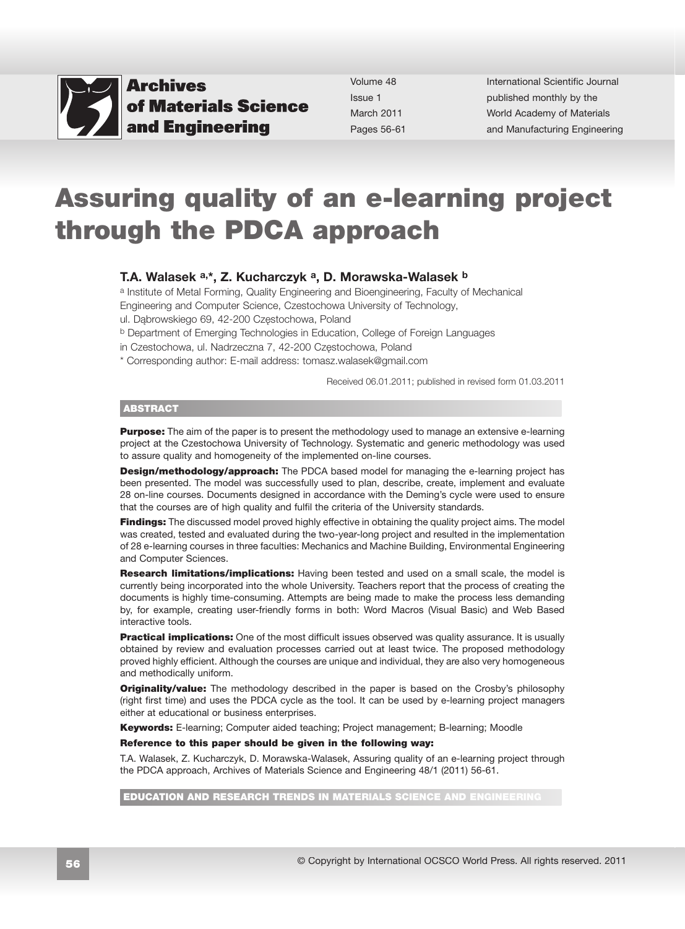

Volume 48 Issue 1 March 2011 Pages 56-61 International Scientific Journal published monthly by the World Academy of Materials [and Manufacturing Engineering](http://www.archivesmse.org)

# Assuring quality of an e-learning project through the PDCA approach

#### T.A. Walasek a,\*, Z. Kucharczyk a, D. Morawska-Walasek b

a Institute of Metal Forming, Quality Engineering and Bioengineering, Faculty of Mechanical Engineering and Computer Science, Czestochowa University of Technology,

ul. Dąbrowskiego 69, 42-200 Częstochowa, Poland

b Department of Emerging Technologies in Education, College of Foreign Languages

in Czestochowa, ul. Nadrzeczna 7, 42-200 Częstochowa, Poland

\* Corresponding author: E-mail address: tomasz.walasek@gmail.com

Received 06.01.2011; published in revised form 01.03.2011

#### ABSTRACT

**Purpose:** The aim of the paper is to present the methodology used to manage an extensive e-learning project at the Czestochowa University of Technology. Systematic and generic methodology was used to assure quality and homogeneity of the implemented on-line courses.

**Design/methodology/approach:** The PDCA based model for managing the e-learning project has been presented. The model was successfully used to plan, describe, create, implement and evaluate 28 on-line courses. Documents designed in accordance with the Deming's cycle were used to ensure that the courses are of high quality and fulfil the criteria of the University standards.

**Findings:** The discussed model proved highly effective in obtaining the quality project aims. The model was created, tested and evaluated during the two-year-long project and resulted in the implementation of 28 e-learning courses in three faculties: Mechanics and Machine Building, Environmental Engineering and Computer Sciences.

**Research limitations/implications:** Having been tested and used on a small scale, the model is currently being incorporated into the whole University. Teachers report that the process of creating the documents is highly time-consuming. Attempts are being made to make the process less demanding by, for example, creating user-friendly forms in both: Word Macros (Visual Basic) and Web Based interactive tools.

**Practical implications:** One of the most difficult issues observed was quality assurance. It is usually obtained by review and evaluation processes carried out at least twice. The proposed methodology proved highly efficient. Although the courses are unique and individual, they are also very homogeneous and methodically uniform.

**Originality/value:** The methodology described in the paper is based on the Crosby's philosophy (right first time) and uses the PDCA cycle as the tool. It can be used by e-learning project managers either at educational or business enterprises.

Keywords: E-learning; Computer aided teaching; Project management; B-learning; Moodle

#### Reference to this paper should be given in the following way:

T.A. Walasek, Z. Kucharczyk, D. Morawska-Walasek, Assuring quality of an e-learning project through the PDCA approach, Archives of Materials Science and Engineering 48/1 (2011) 56-61.

EDUCATION AND RESEARCH TRENDS IN MATERIALS SCIENCE AND ENGINEERII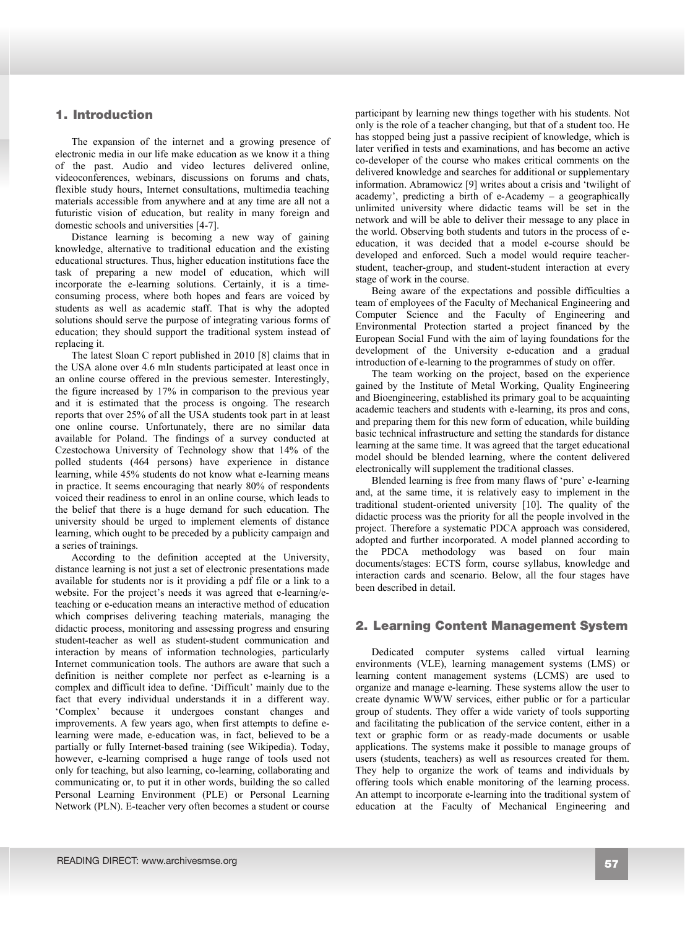# **1. Introduction**  1. Introduction

The expansion of the internet and a growing presence of electronic media in our life make education as we know it a thing of the past. Audio and video lectures delivered online, videoconferences, webinars, discussions on forums and chats, flexible study hours, Internet consultations, multimedia teaching materials accessible from anywhere and at any time are all not a futuristic vision of education, but reality in many foreign and domestic schools and universities [4-7].

Distance learning is becoming a new way of gaining knowledge, alternative to traditional education and the existing educational structures. Thus, higher education institutions face the task of preparing a new model of education, which will incorporate the e-learning solutions. Certainly, it is a timeconsuming process, where both hopes and fears are voiced by students as well as academic staff. That is why the adopted solutions should serve the purpose of integrating various forms of education; they should support the traditional system instead of replacing it.

The latest Sloan C report published in 2010 [8] claims that in the USA alone over 4.6 mln students participated at least once in an online course offered in the previous semester. Interestingly, the figure increased by 17% in comparison to the previous year and it is estimated that the process is ongoing. The research reports that over 25% of all the USA students took part in at least one online course. Unfortunately, there are no similar data available for Poland. The findings of a survey conducted at Czestochowa University of Technology show that 14% of the polled students (464 persons) have experience in distance learning, while 45% students do not know what e-learning means in practice. It seems encouraging that nearly 80% of respondents voiced their readiness to enrol in an online course, which leads to the belief that there is a huge demand for such education. The university should be urged to implement elements of distance learning, which ought to be preceded by a publicity campaign and a series of trainings.

According to the definition accepted at the University, distance learning is not just a set of electronic presentations made available for students nor is it providing a pdf file or a link to a website. For the project's needs it was agreed that e-learning/eteaching or e-education means an interactive method of education which comprises delivering teaching materials, managing the didactic process, monitoring and assessing progress and ensuring student-teacher as well as student-student communication and interaction by means of information technologies, particularly Internet communication tools. The authors are aware that such a definition is neither complete nor perfect as e-learning is a complex and difficult idea to define. 'Difficult' mainly due to the fact that every individual understands it in a different way. 'Complex' because it undergoes constant changes and improvements. A few years ago, when first attempts to define elearning were made, e-education was, in fact, believed to be a partially or fully Internet-based training (see Wikipedia). Today, however, e-learning comprised a huge range of tools used not only for teaching, but also learning, co-learning, collaborating and communicating or, to put it in other words, building the so called Personal Learning Environment (PLE) or Personal Learning Network (PLN). E-teacher very often becomes a student or course participant by learning new things together with his students. Not only is the role of a teacher changing, but that of a student too. He has stopped being just a passive recipient of knowledge, which is later verified in tests and examinations, and has become an active co-developer of the course who makes critical comments on the delivered knowledge and searches for additional or supplementary information. Abramowicz [9] writes about a crisis and 'twilight of academy', predicting a birth of e-Academy – a geographically unlimited university where didactic teams will be set in the network and will be able to deliver their message to any place in the world. Observing both students and tutors in the process of eeducation, it was decided that a model e-course should be developed and enforced. Such a model would require teacherstudent, teacher-group, and student-student interaction at every stage of work in the course.

Being aware of the expectations and possible difficulties a team of employees of the Faculty of Mechanical Engineering and Computer Science and the Faculty of Engineering and Environmental Protection started a project financed by the European Social Fund with the aim of laying foundations for the development of the University e-education and a gradual introduction of e-learning to the programmes of study on offer.

The team working on the project, based on the experience gained by the Institute of Metal Working, Quality Engineering and Bioengineering, established its primary goal to be acquainting academic teachers and students with e-learning, its pros and cons, and preparing them for this new form of education, while building basic technical infrastructure and setting the standards for distance learning at the same time. It was agreed that the target educational model should be blended learning, where the content delivered electronically will supplement the traditional classes.

Blended learning is free from many flaws of 'pure' e-learning and, at the same time, it is relatively easy to implement in the traditional student-oriented university [10]. The quality of the didactic process was the priority for all the people involved in the project. Therefore a systematic PDCA approach was considered, adopted and further incorporated. A model planned according to the PDCA methodology was based on four main documents/stages: ECTS form, course syllabus, knowledge and interaction cards and scenario. Below, all the four stages have been described in detail.

## **2. Learning Content Management System**  2. Learning Content Management System

Dedicated computer systems called virtual learning environments (VLE), learning management systems (LMS) or learning content management systems (LCMS) are used to organize and manage e-learning. These systems allow the user to create dynamic WWW services, either public or for a particular group of students. They offer a wide variety of tools supporting and facilitating the publication of the service content, either in a text or graphic form or as ready-made documents or usable applications. The systems make it possible to manage groups of users (students, teachers) as well as resources created for them. They help to organize the work of teams and individuals by offering tools which enable monitoring of the learning process. An attempt to incorporate e-learning into the traditional system of education at the Faculty of Mechanical Engineering and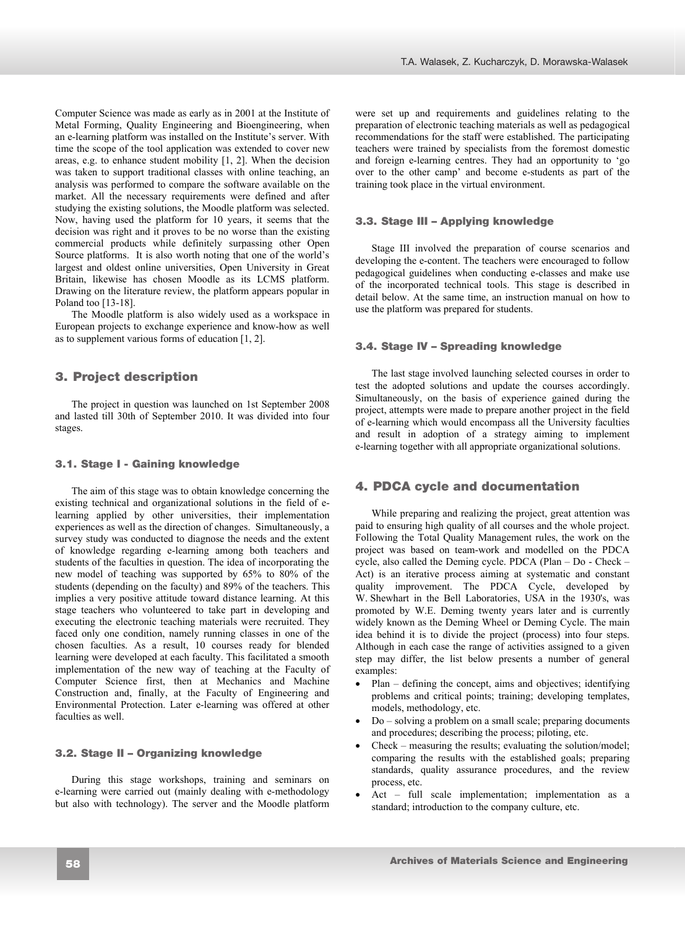Computer Science was made as early as in 2001 at the Institute of Metal Forming, Quality Engineering and Bioengineering, when an e-learning platform was installed on the Institute's server. With time the scope of the tool application was extended to cover new areas, e.g. to enhance student mobility [1, 2]. When the decision was taken to support traditional classes with online teaching, an analysis was performed to compare the software available on the market. All the necessary requirements were defined and after studying the existing solutions, the Moodle platform was selected. Now, having used the platform for 10 years, it seems that the decision was right and it proves to be no worse than the existing commercial products while definitely surpassing other Open Source platforms. It is also worth noting that one of the world's largest and oldest online universities, Open University in Great Britain, likewise has chosen Moodle as its LCMS platform. Drawing on the literature review, the platform appears popular in Poland too [13-18].

The Moodle platform is also widely used as a workspace in European projects to exchange experience and know-how as well as to supplement various forms of education [1, 2].

## **3. Project description**  3. Project description

The project in question was launched on 1st September 2008 and lasted till 30th of September 2010. It was divided into four stages.

### **3.1. Stage I - Gaining knowledge**  3.1. Stage I - Gaining knowledge

The aim of this stage was to obtain knowledge concerning the existing technical and organizational solutions in the field of elearning applied by other universities, their implementation experiences as well as the direction of changes. Simultaneously, a survey study was conducted to diagnose the needs and the extent of knowledge regarding e-learning among both teachers and students of the faculties in question. The idea of incorporating the new model of teaching was supported by 65% to 80% of the students (depending on the faculty) and 89% of the teachers. This implies a very positive attitude toward distance learning. At this stage teachers who volunteered to take part in developing and executing the electronic teaching materials were recruited. They faced only one condition, namely running classes in one of the chosen faculties. As a result, 10 courses ready for blended learning were developed at each faculty. This facilitated a smooth implementation of the new way of teaching at the Faculty of Computer Science first, then at Mechanics and Machine Construction and, finally, at the Faculty of Engineering and Environmental Protection. Later e-learning was offered at other faculties as well.

#### **3.2. Stage II – Organizing knowledge**  3.2. Stage II – Organizing knowledge

During this stage workshops, training and seminars on e-learning were carried out (mainly dealing with e-methodology but also with technology). The server and the Moodle platform were set up and requirements and guidelines relating to the preparation of electronic teaching materials as well as pedagogical recommendations for the staff were established. The participating teachers were trained by specialists from the foremost domestic and foreign e-learning centres. They had an opportunity to 'go over to the other camp' and become e-students as part of the training took place in the virtual environment.

#### **3.3. Stage III – Applying knowledge**  3.3. Stage III – Applying knowledge

Stage III involved the preparation of course scenarios and developing the e-content. The teachers were encouraged to follow pedagogical guidelines when conducting e-classes and make use of the incorporated technical tools. This stage is described in detail below. At the same time, an instruction manual on how to use the platform was prepared for students.

#### **3.4. Stage IV – Spreading knowledge**  3.4. Stage IV – Spreading knowledge

The last stage involved launching selected courses in order to test the adopted solutions and update the courses accordingly. Simultaneously, on the basis of experience gained during the project, attempts were made to prepare another project in the field of e-learning which would encompass all the University faculties and result in adoption of a strategy aiming to implement e-learning together with all appropriate organizational solutions.

## **4. PDCA cycle and documentation**  4. PDCA cycle and documentation

While preparing and realizing the project, great attention was paid to ensuring high quality of all courses and the whole project. Following the Total Quality Management rules, the work on the project was based on team-work and modelled on the PDCA cycle, also called the Deming cycle. PDCA (Plan – Do - Check – Act) is an iterative process aiming at systematic and constant quality improvement. The PDCA Cycle, developed by W. Shewhart in the Bell Laboratories, USA in the 1930's, was promoted by W.E. Deming twenty years later and is currently widely known as the Deming Wheel or Deming Cycle. The main idea behind it is to divide the project (process) into four steps. Although in each case the range of activities assigned to a given step may differ, the list below presents a number of general examples:

- Plan defining the concept, aims and objectives; identifying problems and critical points; training; developing templates, models, methodology, etc.
- $Do solving a problem on a small scale; preparing documents$ and procedures; describing the process; piloting, etc.
- Check measuring the results; evaluating the solution/model; comparing the results with the established goals; preparing standards, quality assurance procedures, and the review process, etc.
- Act full scale implementation; implementation as a standard; introduction to the company culture, etc.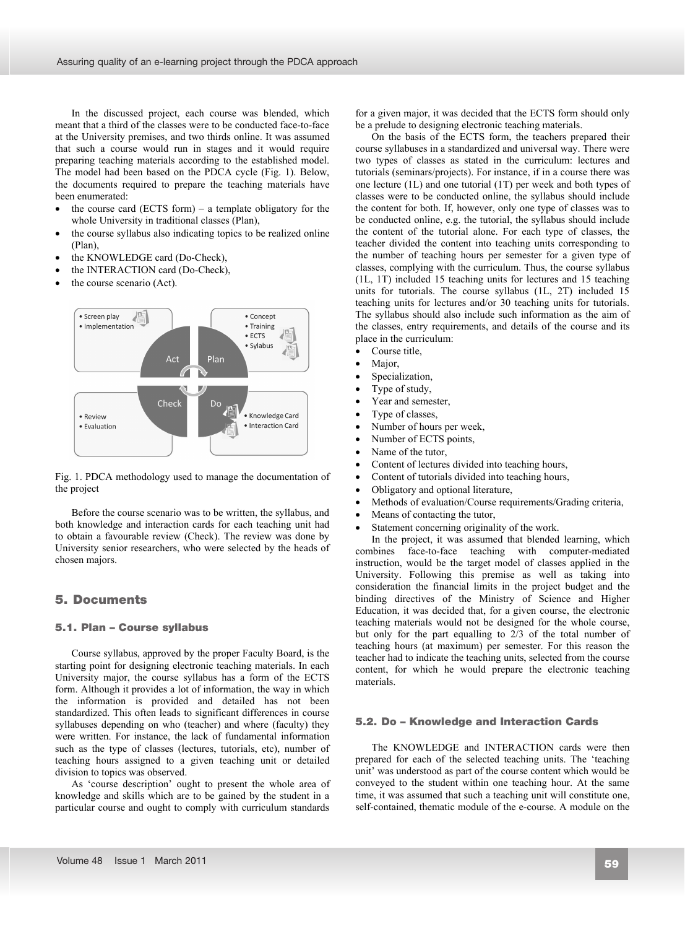In the discussed project, each course was blended, which meant that a third of the classes were to be conducted face-to-face at the University premises, and two thirds online. It was assumed that such a course would run in stages and it would require preparing teaching materials according to the established model. The model had been based on the PDCA cycle (Fig. 1). Below, the documents required to prepare the teaching materials have been enumerated:

- the course card (ECTS form) a template obligatory for the whole University in traditional classes (Plan),
- the course syllabus also indicating topics to be realized online (Plan),
- the KNOWLEDGE card (Do-Check),
- the INTERACTION card (Do-Check),
- the course scenario (Act).



Fig. 1. PDCA methodology used to manage the documentation of the project

Before the course scenario was to be written, the syllabus, and both knowledge and interaction cards for each teaching unit had to obtain a favourable review (Check). The review was done by University senior researchers, who were selected by the heads of chosen majors.

## **5. Documents**  5. Documents

#### **5.1. Plan – Course syllabus**  5.1. Plan – Course syllabus

Course syllabus, approved by the proper Faculty Board, is the starting point for designing electronic teaching materials. In each University major, the course syllabus has a form of the ECTS form. Although it provides a lot of information, the way in which the information is provided and detailed has not been standardized. This often leads to significant differences in course syllabuses depending on who (teacher) and where (faculty) they were written. For instance, the lack of fundamental information such as the type of classes (lectures, tutorials, etc), number of teaching hours assigned to a given teaching unit or detailed division to topics was observed.

As 'course description' ought to present the whole area of knowledge and skills which are to be gained by the student in a particular course and ought to comply with curriculum standards

for a given major, it was decided that the ECTS form should only be a prelude to designing electronic teaching materials.

On the basis of the ECTS form, the teachers prepared their course syllabuses in a standardized and universal way. There were two types of classes as stated in the curriculum: lectures and tutorials (seminars/projects). For instance, if in a course there was one lecture (1L) and one tutorial (1T) per week and both types of classes were to be conducted online, the syllabus should include the content for both. If, however, only one type of classes was to be conducted online, e.g. the tutorial, the syllabus should include the content of the tutorial alone. For each type of classes, the teacher divided the content into teaching units corresponding to the number of teaching hours per semester for a given type of classes, complying with the curriculum. Thus, the course syllabus (1L, 1T) included 15 teaching units for lectures and 15 teaching units for tutorials. The course syllabus (1L, 2T) included 15 teaching units for lectures and/or 30 teaching units for tutorials. The syllabus should also include such information as the aim of the classes, entry requirements, and details of the course and its place in the curriculum:

- $\bullet$  Course title.
- Major,
- Specialization,
- Type of study,
- Year and semester.
- Type of classes,
- Number of hours per week,
- Number of ECTS points,
- Name of the tutor.
- Content of lectures divided into teaching hours,
- Content of tutorials divided into teaching hours.
- Obligatory and optional literature,
- Methods of evaluation/Course requirements/Grading criteria,
- Means of contacting the tutor,
- Statement concerning originality of the work.

In the project, it was assumed that blended learning, which combines face-to-face teaching with computer-mediated instruction, would be the target model of classes applied in the University. Following this premise as well as taking into consideration the financial limits in the project budget and the binding directives of the Ministry of Science and Higher Education, it was decided that, for a given course, the electronic teaching materials would not be designed for the whole course, but only for the part equalling to 2/3 of the total number of teaching hours (at maximum) per semester. For this reason the teacher had to indicate the teaching units, selected from the course content, for which he would prepare the electronic teaching materials.

#### **5.2. Do – Knowledge and Interaction Cards**  5.2. Do – Knowledge and Interaction Cards

The KNOWLEDGE and INTERACTION cards were then prepared for each of the selected teaching units. The 'teaching unit' was understood as part of the course content which would be conveyed to the student within one teaching hour. At the same time, it was assumed that such a teaching unit will constitute one, self-contained, thematic module of the e-course. A module on the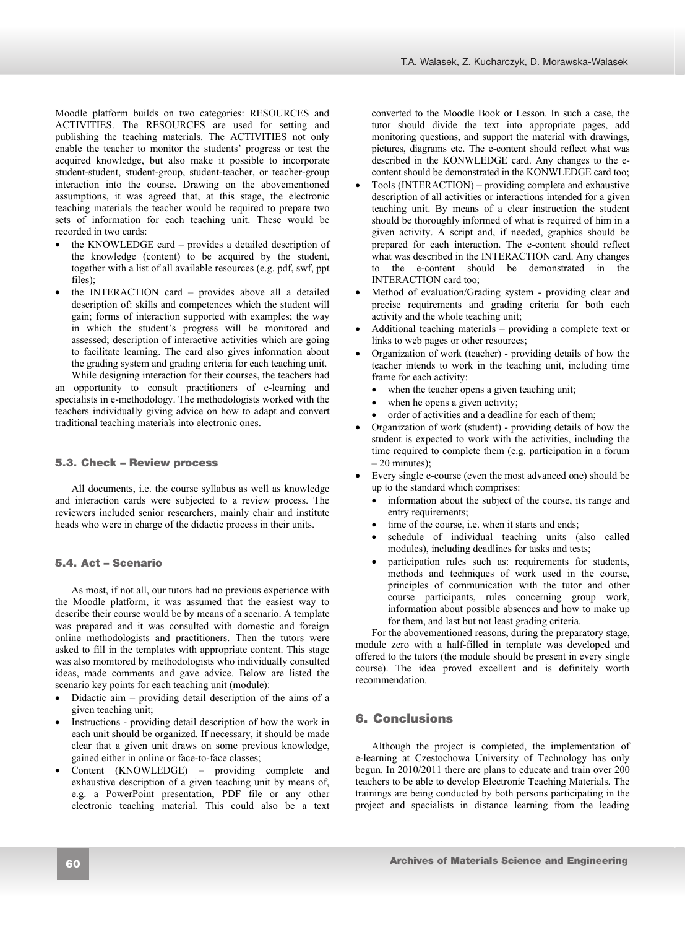Moodle platform builds on two categories: RESOURCES and ACTIVITIES. The RESOURCES are used for setting and publishing the teaching materials. The ACTIVITIES not only enable the teacher to monitor the students' progress or test the acquired knowledge, but also make it possible to incorporate student-student, student-group, student-teacher, or teacher-group interaction into the course. Drawing on the abovementioned assumptions, it was agreed that, at this stage, the electronic teaching materials the teacher would be required to prepare two sets of information for each teaching unit. These would be recorded in two cards:

- the KNOWLEDGE card provides a detailed description of the knowledge (content) to be acquired by the student, together with a list of all available resources (e.g. pdf, swf, ppt files)<sup>.</sup>
- the INTERACTION card provides above all a detailed description of: skills and competences which the student will gain; forms of interaction supported with examples; the way in which the student's progress will be monitored and assessed; description of interactive activities which are going to facilitate learning. The card also gives information about the grading system and grading criteria for each teaching unit. While designing interaction for their courses, the teachers had

an opportunity to consult practitioners of e-learning and specialists in e-methodology. The methodologists worked with the teachers individually giving advice on how to adapt and convert traditional teaching materials into electronic ones.

## **5.3. Check – Review process**  5.3. Check – Review process

All documents, i.e. the course syllabus as well as knowledge and interaction cards were subjected to a review process. The reviewers included senior researchers, mainly chair and institute heads who were in charge of the didactic process in their units.

## **5.4. Act – Scenario**  5.4. Act – Scenario

As most, if not all, our tutors had no previous experience with the Moodle platform, it was assumed that the easiest way to describe their course would be by means of a scenario. A template was prepared and it was consulted with domestic and foreign online methodologists and practitioners. Then the tutors were asked to fill in the templates with appropriate content. This stage was also monitored by methodologists who individually consulted ideas, made comments and gave advice. Below are listed the scenario key points for each teaching unit (module):

- Didactic aim  $-$  providing detail description of the aims of a given teaching unit;
- Instructions providing detail description of how the work in each unit should be organized. If necessary, it should be made clear that a given unit draws on some previous knowledge, gained either in online or face-to-face classes;
- x Content (KNOWLEDGE) providing complete and exhaustive description of a given teaching unit by means of, e.g. a PowerPoint presentation, PDF file or any other electronic teaching material. This could also be a text

converted to the Moodle Book or Lesson. In such a case, the tutor should divide the text into appropriate pages, add monitoring questions, and support the material with drawings, pictures, diagrams etc. The e-content should reflect what was described in the KONWLEDGE card. Any changes to the econtent should be demonstrated in the KONWLEDGE card too;

- Tools (INTERACTION) providing complete and exhaustive description of all activities or interactions intended for a given teaching unit. By means of a clear instruction the student should be thoroughly informed of what is required of him in a given activity. A script and, if needed, graphics should be prepared for each interaction. The e-content should reflect what was described in the INTERACTION card. Any changes to the e-content should be demonstrated in the INTERACTION card too;
- Method of evaluation/Grading system providing clear and precise requirements and grading criteria for both each activity and the whole teaching unit;
- Additional teaching materials providing a complete text or links to web pages or other resources;
- Organization of work (teacher) providing details of how the teacher intends to work in the teaching unit, including time frame for each activity:
	- when the teacher opens a given teaching unit;
	- when he opens a given activity;
	- order of activities and a deadline for each of them;
- Organization of work (student) providing details of how the student is expected to work with the activities, including the time required to complete them (e.g. participation in a forum – 20 minutes);
- Every single e-course (even the most advanced one) should be up to the standard which comprises:
	- information about the subject of the course, its range and entry requirements;
	- time of the course, i.e. when it starts and ends;
	- schedule of individual teaching units (also called modules), including deadlines for tasks and tests;
	- participation rules such as: requirements for students, methods and techniques of work used in the course, principles of communication with the tutor and other course participants, rules concerning group work, information about possible absences and how to make up for them, and last but not least grading criteria.

For the abovementioned reasons, during the preparatory stage, module zero with a half-filled in template was developed and offered to the tutors (the module should be present in every single course). The idea proved excellent and is definitely worth recommendation.

# **6. Conclusions**  6. Conclusions

Although the project is completed, the implementation of e-learning at Czestochowa University of Technology has only begun. In 2010/2011 there are plans to educate and train over 200 teachers to be able to develop Electronic Teaching Materials. The trainings are being conducted by both persons participating in the project and specialists in distance learning from the leading